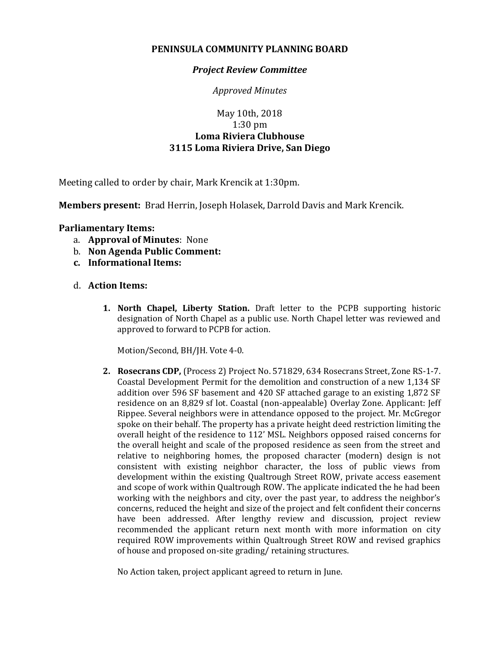## **PENINSULA COMMUNITY PLANNING BOARD**

## *Project Review Committee*

*Approved Minutes*

## May 10th, 2018 1:30 pm **Loma Riviera Clubhouse 3115 Loma Riviera Drive, San Diego**

Meeting called to order by chair, Mark Krencik at 1:30pm.

**Members present:** Brad Herrin, Joseph Holasek, Darrold Davis and Mark Krencik.

## **Parliamentary Items:**

- a. **Approval of Minutes**: None
- b. **Non Agenda Public Comment:**
- **c. Informational Items:**
- d. **Action Items:**
	- **1. North Chapel, Liberty Station.** Draft letter to the PCPB supporting historic designation of North Chapel as a public use. North Chapel letter was reviewed and approved to forward to PCPB for action.

Motion/Second, BH/JH. Vote 4-0.

**2. Rosecrans CDP,** (Process 2) Project No. 571829, 634 Rosecrans Street, Zone RS-1-7. Coastal Development Permit for the demolition and construction of a new 1,134 SF addition over 596 SF basement and 420 SF attached garage to an existing 1,872 SF residence on an 8,829 sf lot. Coastal (non-appealable) Overlay Zone. Applicant: Jeff Rippee. Several neighbors were in attendance opposed to the project. Mr. McGregor spoke on their behalf. The property has a private height deed restriction limiting the overall height of the residence to 112' MSL. Neighbors opposed raised concerns for the overall height and scale of the proposed residence as seen from the street and relative to neighboring homes, the proposed character (modern) design is not consistent with existing neighbor character, the loss of public views from development within the existing Qualtrough Street ROW, private access easement and scope of work within Qualtrough ROW. The applicate indicated the he had been working with the neighbors and city, over the past year, to address the neighbor's concerns, reduced the height and size of the project and felt confident their concerns have been addressed. After lengthy review and discussion, project review recommended the applicant return next month with more information on city required ROW improvements within Qualtrough Street ROW and revised graphics of house and proposed on-site grading/ retaining structures.

No Action taken, project applicant agreed to return in June.